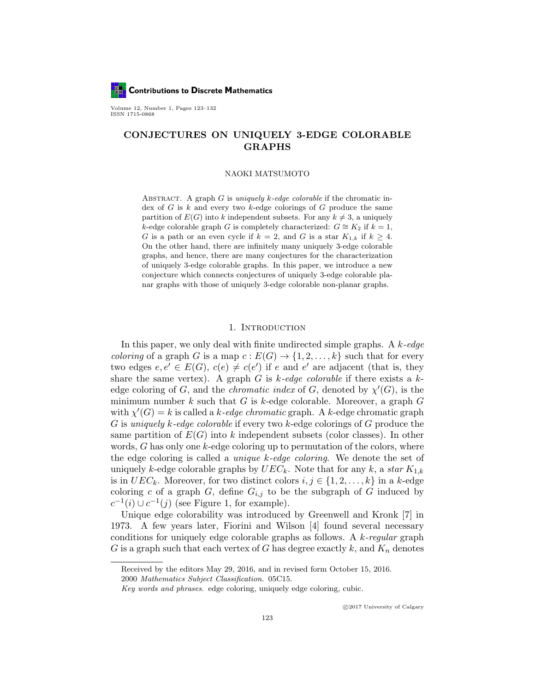**Contributions to Discrete Mathematics** 

Volume 12, Number 1, Pages 123–132 ISSN 1715-0868

# CONJECTURES ON UNIQUELY 3-EDGE COLORABLE GRAPHS

#### NAOKI MATSUMOTO

ABSTRACT. A graph  $G$  is *uniquely k-edge colorable* if the chromatic index of  $G$  is  $k$  and every two  $k$ -edge colorings of  $G$  produce the same partition of  $E(G)$  into k independent subsets. For any  $k \neq 3$ , a uniquely k-edge colorable graph G is completely characterized:  $G \cong K_2$  if  $k = 1$ , G is a path or an even cycle if  $k = 2$ , and G is a star  $K_{1,k}$  if  $k \geq 4$ . On the other hand, there are infinitely many uniquely 3-edge colorable graphs, and hence, there are many conjectures for the characterization of uniquely 3-edge colorable graphs. In this paper, we introduce a new conjecture which connects conjectures of uniquely 3-edge colorable planar graphs with those of uniquely 3-edge colorable non-planar graphs.

## 1. Introduction

In this paper, we only deal with finite undirected simple graphs. A  $k$ -edge *coloring* of a graph G is a map  $c: E(G) \to \{1, 2, ..., k\}$  such that for every two edges  $e, e' \in E(G), c(e) \neq c(e')$  if e and e' are adjacent (that is, they share the same vertex). A graph G is  $k$ -edge colorable if there exists a  $k$ edge coloring of G, and the *chromatic index* of G, denoted by  $\chi'(G)$ , is the minimum number  $k$  such that  $G$  is  $k$ -edge colorable. Moreover, a graph  $G$ with  $\chi'(G) = k$  is called a k-edge chromatic graph. A k-edge chromatic graph G is uniquely k-edge colorable if every two k-edge colorings of G produce the same partition of  $E(G)$  into k independent subsets (color classes). In other words,  $G$  has only one  $k$ -edge coloring up to permutation of the colors, where the edge coloring is called a *unique k-edge coloring*. We denote the set of uniquely k-edge colorable graphs by  $UEC_k$ . Note that for any k, a star  $K_{1,k}$ is in  $UEC_k$ . Moreover, for two distinct colors  $i, j \in \{1, 2, \ldots, k\}$  in a k-edge coloring c of a graph G, define  $G_{i,j}$  to be the subgraph of G induced by  $c^{-1}(i) \cup c^{-1}(j)$  (see Figure 1, for example).

Unique edge colorability was introduced by Greenwell and Kronk [7] in 1973. A few years later, Fiorini and Wilson [4] found several necessary conditions for uniquely edge colorable graphs as follows. A  $k$ -regular graph G is a graph such that each vertex of G has degree exactly  $k$ , and  $K_n$  denotes

Received by the editors May 29, 2016, and in revised form October 15, 2016.

<sup>2000</sup> Mathematics Subject Classification. 05C15.

Key words and phrases. edge coloring, uniquely edge coloring, cubic.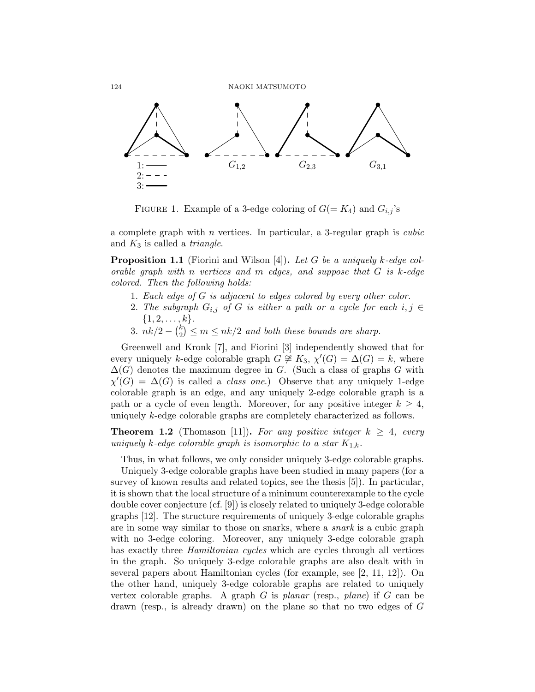

FIGURE 1. Example of a 3-edge coloring of  $G(= K_4)$  and  $G_{i,j}$ 's

a complete graph with  $n$  vertices. In particular, a 3-regular graph is *cubic* and  $K_3$  is called a *triangle*.

**Proposition 1.1** (Fiorini and Wilson [4]). Let G be a uniquely k-edge colorable graph with n vertices and  $m$  edges, and suppose that  $G$  is k-edge colored. Then the following holds:

- 1. Each edge of G is adjacent to edges colored by every other color.
- 2. The subgraph  $G_{i,j}$  of G is either a path or a cycle for each  $i, j \in$  ${1, 2, \ldots, k}.$
- 3.  $nk/2 \binom{k}{2}$  $\binom{k}{2} \leq m \leq n k/2$  and both these bounds are sharp.

Greenwell and Kronk [7], and Fiorini [3] independently showed that for every uniquely k-edge colorable graph  $G \neq K_3$ ,  $\chi'(G) = \Delta(G) = k$ , where  $\Delta(G)$  denotes the maximum degree in G. (Such a class of graphs G with  $\chi'(G) = \Delta(G)$  is called a *class one.*) Observe that any uniquely 1-edge colorable graph is an edge, and any uniquely 2-edge colorable graph is a path or a cycle of even length. Moreover, for any positive integer  $k \geq 4$ , uniquely k-edge colorable graphs are completely characterized as follows.

**Theorem 1.2** (Thomason [11]). For any positive integer  $k \geq 4$ , every uniquely k-edge colorable graph is isomorphic to a star  $K_{1,k}$ .

Thus, in what follows, we only consider uniquely 3-edge colorable graphs.

1 vertex colorable graphs. A graph G is planar (resp., plane) if G can be Uniquely 3-edge colorable graphs have been studied in many papers (for a survey of known results and related topics, see the thesis [5]). In particular, it is shown that the local structure of a minimum counterexample to the cycle double cover conjecture (cf. [9]) is closely related to uniquely 3-edge colorable graphs [12]. The structure requirements of uniquely 3-edge colorable graphs are in some way similar to those on snarks, where a snark is a cubic graph with no 3-edge coloring. Moreover, any uniquely 3-edge colorable graph has exactly three *Hamiltonian cycles* which are cycles through all vertices in the graph. So uniquely 3-edge colorable graphs are also dealt with in several papers about Hamiltonian cycles (for example, see [2, 11, 12]). On the other hand, uniquely 3-edge colorable graphs are related to uniquely drawn (resp., is already drawn) on the plane so that no two edges of G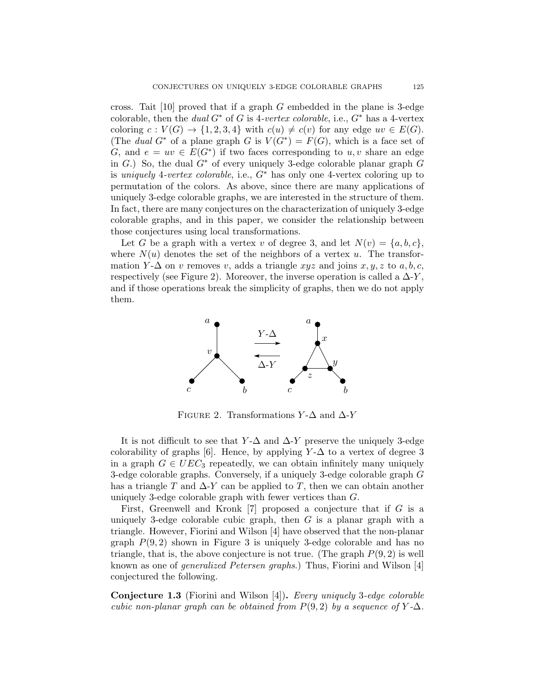cross. Tait  $[10]$  proved that if a graph G embedded in the plane is 3-edge colorable, then the dual  $G^*$  of G is 4-vertex colorable, i.e.,  $G^*$  has a 4-vertex coloring  $c: V(G) \to \{1, 2, 3, 4\}$  with  $c(u) \neq c(v)$  for any edge  $uv \in E(G)$ . (The dual G<sup>\*</sup> of a plane graph G is  $V(G^*) = F(G)$ , which is a face set of G, and  $e = uv \in E(G^*)$  if two faces corresponding to  $u, v$  share an edge in G.) So, the dual  $G^*$  of every uniquely 3-edge colorable planar graph  $G$ is uniquely 4-vertex colorable, i.e.,  $G^*$  has only one 4-vertex coloring up to permutation of the colors. As above, since there are many applications of uniquely 3-edge colorable graphs, we are interested in the structure of them. In fact, there are many conjectures on the characterization of uniquely 3-edge colorable graphs, and in this paper, we consider the relationship between those conjectures using local transformations.

Let G be a graph with a vertex v of degree 3, and let  $N(v) = \{a, b, c\},\$ where  $N(u)$  denotes the set of the neighbors of a vertex u. The transformation  $Y - \Delta$  on v removes v, adds a triangle  $xyz$  and joins  $x, y, z$  to  $a, b, c$ , respectively (see Figure 2). Moreover, the inverse operation is called a  $\Delta$ -Y, and if those operations break the simplicity of graphs, then we do not apply them.



FIGURE 2. Transformations  $Y$ - $\Delta$  and  $\Delta$ -Y

It is not difficult to see that Y- $\Delta$  and  $\Delta$ -Y preserve the uniquely 3-edge colorability of graphs [6]. Hence, by applying  $Y$ - $\Delta$  to a vertex of degree 3 in a graph  $G \in UEC_3$  repeatedly, we can obtain infinitely many uniquely 3-edge colorable graphs. Conversely, if a uniquely 3-edge colorable graph G has a triangle T and  $\Delta$ -Y can be applied to T, then we can obtain another uniquely 3-edge colorable graph with fewer vertices than G.

First, Greenwell and Kronk [7] proposed a conjecture that if G is a uniquely 3-edge colorable cubic graph, then  $G$  is a planar graph with a triangle. However, Fiorini and Wilson [4] have observed that the non-planar graph  $P(9, 2)$  shown in Figure 3 is uniquely 3-edge colorable and has no triangle, that is, the above conjecture is not true. (The graph  $P(9, 2)$  is well known as one of generalized Petersen graphs.) Thus, Fiorini and Wilson [4] conjectured the following.

Conjecture 1.3 (Fiorini and Wilson [4]). Every uniquely 3-edge colorable cubic non-planar graph can be obtained from  $P(9, 2)$  by a sequence of Y- $\Delta$ .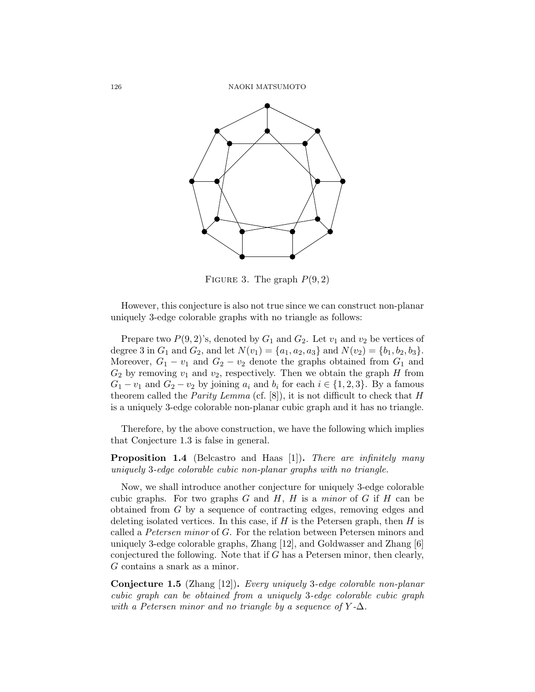

FIGURE 3. The graph  $P(9, 2)$ 

However, this conjecture is also not true since we can construct non-planar uniquely 3-edge colorable graphs with no triangle as follows:

Prepare two  $P(9, 2)$ 's, denoted by  $G_1$  and  $G_2$ . Let  $v_1$  and  $v_2$  be vertices of degree 3 in  $G_1$  and  $G_2$ , and let  $N(v_1) = \{a_1, a_2, a_3\}$  and  $N(v_2) = \{b_1, b_2, b_3\}.$ Moreover,  $G_1 - v_1$  and  $G_2 - v_2$  denote the graphs obtained from  $G_1$  and  $G_2$  by removing  $v_1$  and  $v_2$ , respectively. Then we obtain the graph H from  $G_1 - v_1$  and  $G_2 - v_2$  by joining  $a_i$  and  $b_i$  for each  $i \in \{1, 2, 3\}$ . By a famous theorem called the *Parity Lemma* (cf. [8]), it is not difficult to check that  $H$ is a uniquely 3-edge colorable non-planar cubic graph and it has no triangle.

Therefore, by the above construction, we have the following which implies that Conjecture 1.3 is false in general.

**Proposition 1.4** (Belcastro and Haas [1]). There are infinitely many uniquely 3-edge colorable cubic non-planar graphs with no triangle.

Now, we shall introduce another conjecture for uniquely 3-edge colorable cubic graphs. For two graphs  $G$  and  $H$ ,  $H$  is a minor of  $G$  if  $H$  can be obtained from G by a sequence of contracting edges, removing edges and deleting isolated vertices. In this case, if  $H$  is the Petersen graph, then  $H$  is called a Petersen minor of G. For the relation between Petersen minors and uniquely 3-edge colorable graphs, Zhang [12], and Goldwasser and Zhang [6] conjectured the following. Note that if G has a Petersen minor, then clearly, G contains a snark as a minor.

1 cubic graph can be obtained from a uniquely 3-edge colorable cubic graph Conjecture 1.5 (Zhang [12]). Every uniquely 3-edge colorable non-planar with a Petersen minor and no triangle by a sequence of  $Y$ - $\Delta$ .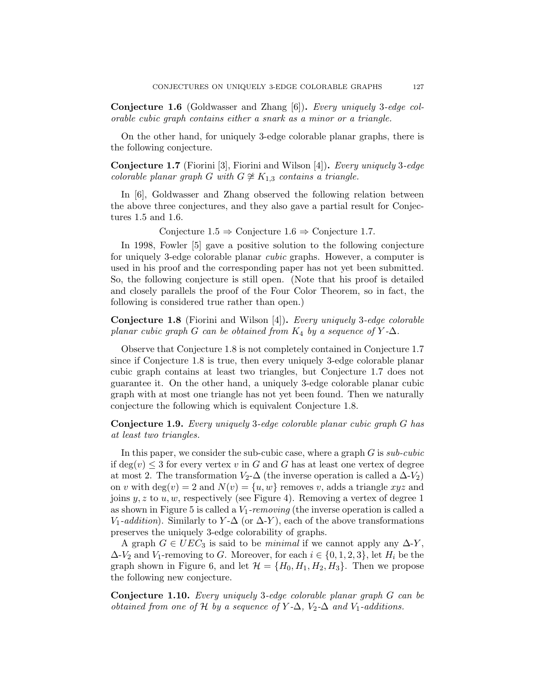Conjecture 1.6 (Goldwasser and Zhang [6]). Every uniquely 3-edge colorable cubic graph contains either a snark as a minor or a triangle.

On the other hand, for uniquely 3-edge colorable planar graphs, there is the following conjecture.

Conjecture 1.7 (Fiorini [3], Fiorini and Wilson [4]). Every uniquely 3-edge colorable planar graph G with  $G \not\cong K_{1,3}$  contains a triangle.

In [6], Goldwasser and Zhang observed the following relation between the above three conjectures, and they also gave a partial result for Conjectures 1.5 and 1.6.

Conjecture  $1.5 \Rightarrow$  Conjecture  $1.6 \Rightarrow$  Conjecture 1.7.

In 1998, Fowler [5] gave a positive solution to the following conjecture for uniquely 3-edge colorable planar cubic graphs. However, a computer is used in his proof and the corresponding paper has not yet been submitted. So, the following conjecture is still open. (Note that his proof is detailed and closely parallels the proof of the Four Color Theorem, so in fact, the following is considered true rather than open.)

Conjecture 1.8 (Fiorini and Wilson [4]). Every uniquely 3-edge colorable planar cubic graph G can be obtained from  $K_4$  by a sequence of Y- $\Delta$ .

Observe that Conjecture 1.8 is not completely contained in Conjecture 1.7 since if Conjecture 1.8 is true, then every uniquely 3-edge colorable planar cubic graph contains at least two triangles, but Conjecture 1.7 does not guarantee it. On the other hand, a uniquely 3-edge colorable planar cubic graph with at most one triangle has not yet been found. Then we naturally conjecture the following which is equivalent Conjecture 1.8.

Conjecture 1.9. Every uniquely 3-edge colorable planar cubic graph G has at least two triangles.

In this paper, we consider the sub-cubic case, where a graph  $G$  is  $sub-cubic$ if  $deg(v) \leq 3$  for every vertex v in G and G has at least one vertex of degree at most 2. The transformation  $V_2$ - $\Delta$  (the inverse operation is called a  $\Delta$ - $V_2$ ) on v with  $deg(v) = 2$  and  $N(v) = \{u, w\}$  removes v, adds a triangle xyz and joins  $y, z$  to  $u, w$ , respectively (see Figure 4). Removing a vertex of degree 1 as shown in Figure 5 is called a  $V_1$ -removing (the inverse operation is called a  $V_1$ -addition). Similarly to  $Y$ - $\Delta$  (or  $\Delta$ -Y), each of the above transformations preserves the uniquely 3-edge colorability of graphs.

A graph  $G \in UEC_3$  is said to be *minimal* if we cannot apply any  $\Delta$ -Y,  $\Delta V_2$  and  $V_1$ -removing to G. Moreover, for each  $i \in \{0, 1, 2, 3\}$ , let  $H_i$  be the graph shown in Figure 6, and let  $\mathcal{H} = \{H_0, H_1, H_2, H_3\}$ . Then we propose the following new conjecture.

Conjecture 1.10. Every uniquely 3-edge colorable planar graph G can be obtained from one of H by a sequence of Y- $\Delta$ , V<sub>2</sub>- $\Delta$  and V<sub>1</sub>-additions.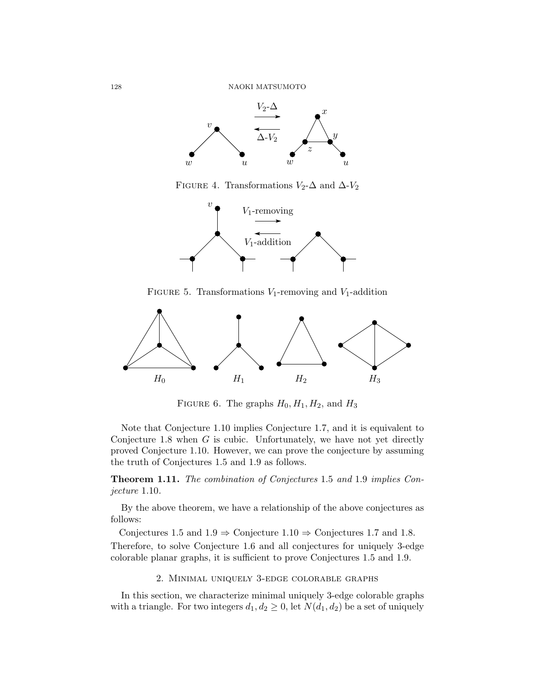

FIGURE 4. Transformations  $V_2$ - $\Delta$  and  $\Delta$ - $V_2$ 



FIGURE 5. Transformations  $V_1$ -removing and  $V_1$ -addition



FIGURE 6. The graphs  $H_0, H_1, H_2$ , and  $H_3$ 

Note that Conjecture 1.10 implies Conjecture 1.7, and it is equivalent to Conjecture 1.8 when  $G$  is cubic. Unfortunately, we have not yet directly proved Conjecture 1.10. However, we can prove the conjecture by assuming the truth of Conjectures 1.5 and 1.9 as follows.

Theorem 1.11. The combination of Conjectures 1.5 and 1.9 implies Conjecture 1.10.

By the above theorem, we have a relationship of the above conjectures as follows:

Conjectures 1.5 and  $1.9 \Rightarrow$  Conjecture  $1.10 \Rightarrow$  Conjectures 1.7 and 1.8. Therefore, to solve Conjecture 1.6 and all conjectures for uniquely 3-edge colorable planar graphs, it is sufficient to prove Conjectures 1.5 and 1.9.

## 2. Minimal uniquely 3-edge colorable graphs

1 In this section, we characterize minimal uniquely 3-edge colorable graphs with a triangle. For two integers  $d_1, d_2 \geq 0$ , let  $N(d_1, d_2)$  be a set of uniquely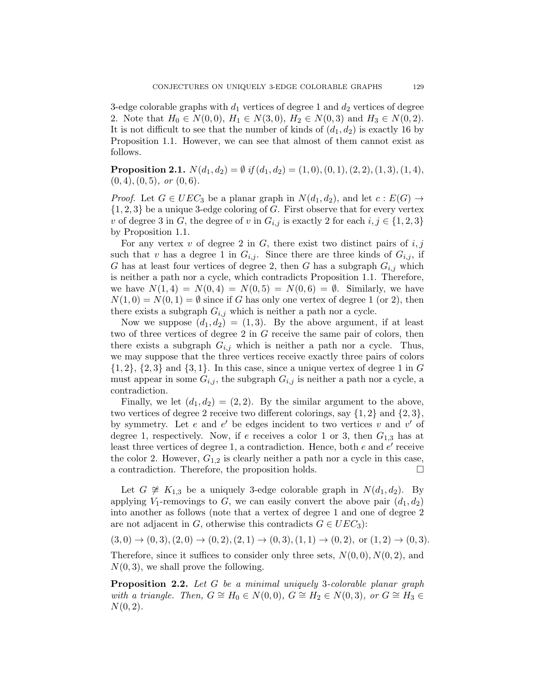3-edge colorable graphs with  $d_1$  vertices of degree 1 and  $d_2$  vertices of degree 2. Note that  $H_0 \in N(0,0), H_1 \in N(3,0), H_2 \in N(0,3)$  and  $H_3 \in N(0,2)$ . It is not difficult to see that the number of kinds of  $(d_1, d_2)$  is exactly 16 by Proposition 1.1. However, we can see that almost of them cannot exist as follows.

**Proposition 2.1.**  $N(d_1, d_2) = \emptyset$  if  $(d_1, d_2) = (1, 0), (0, 1), (2, 2), (1, 3), (1, 4),$  $(0, 4), (0, 5), \text{ or } (0, 6).$ 

*Proof.* Let  $G \in UEC_3$  be a planar graph in  $N(d_1, d_2)$ , and let  $c : E(G) \rightarrow$  ${1, 2, 3}$  be a unique 3-edge coloring of G. First observe that for every vertex v of degree 3 in G, the degree of v in  $G_{i,j}$  is exactly 2 for each  $i, j \in \{1, 2, 3\}$ by Proposition 1.1.

For any vertex v of degree 2 in  $G$ , there exist two distinct pairs of  $i, j$ such that v has a degree 1 in  $G_{i,j}$ . Since there are three kinds of  $G_{i,j}$ , if G has at least four vertices of degree 2, then G has a subgraph  $G_{i,j}$  which is neither a path nor a cycle, which contradicts Proposition 1.1. Therefore, we have  $N(1, 4) = N(0, 4) = N(0, 5) = N(0, 6) = \emptyset$ . Similarly, we have  $N(1,0) = N(0,1) = \emptyset$  since if G has only one vertex of degree 1 (or 2), then there exists a subgraph  $G_{i,j}$  which is neither a path nor a cycle.

Now we suppose  $(d_1, d_2) = (1, 3)$ . By the above argument, if at least two of three vertices of degree 2 in G receive the same pair of colors, then there exists a subgraph  $G_{i,j}$  which is neither a path nor a cycle. Thus, we may suppose that the three vertices receive exactly three pairs of colors  $\{1, 2\}, \{2, 3\}$  and  $\{3, 1\}.$  In this case, since a unique vertex of degree 1 in G must appear in some  $G_{i,j}$ , the subgraph  $G_{i,j}$  is neither a path nor a cycle, a contradiction.

Finally, we let  $(d_1, d_2) = (2, 2)$ . By the similar argument to the above, two vertices of degree 2 receive two different colorings, say  $\{1, 2\}$  and  $\{2, 3\}$ , by symmetry. Let  $e$  and  $e'$  be edges incident to two vertices  $v$  and  $v'$  of degree 1, respectively. Now, if e receives a color 1 or 3, then  $G_{1,3}$  has at least three vertices of degree 1, a contradiction. Hence, both  $e$  and  $e'$  receive the color 2. However,  $G_{1,2}$  is clearly neither a path nor a cycle in this case, a contradiction. Therefore, the proposition holds.

Let  $G \not\cong K_{1,3}$  be a uniquely 3-edge colorable graph in  $N(d_1, d_2)$ . By applying  $V_1$ -removings to G, we can easily convert the above pair  $(d_1, d_2)$ into another as follows (note that a vertex of degree 1 and one of degree 2 are not adjacent in G, otherwise this contradicts  $G \in UEC_3$ :

 $(3,0) \rightarrow (0,3), (2,0) \rightarrow (0,2), (2,1) \rightarrow (0,3), (1,1) \rightarrow (0,2),$  or  $(1,2) \rightarrow (0,3)$ .

Therefore, since it suffices to consider only three sets,  $N(0, 0)$ ,  $N(0, 2)$ , and  $N(0, 3)$ , we shall prove the following.

Proposition 2.2. Let G be a minimal uniquely 3-colorable planar graph with a triangle. Then,  $G \cong H_0 \in N(0,0)$ ,  $G \cong H_2 \in N(0,3)$ , or  $G \cong H_3 \in$  $N(0, 2)$ .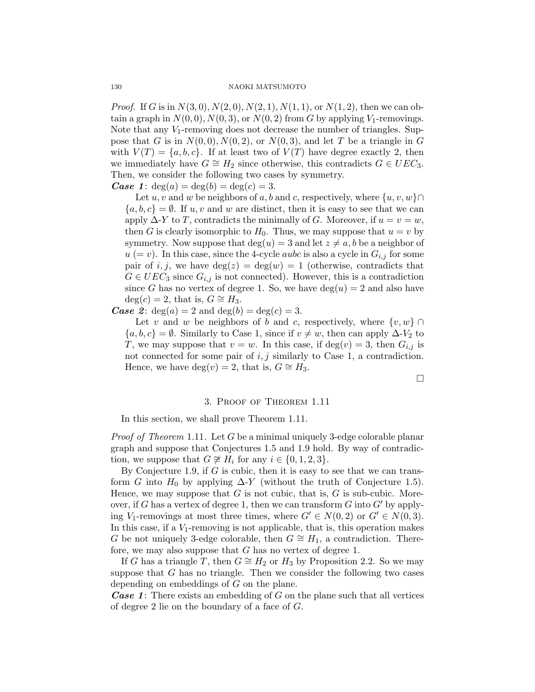*Proof.* If G is in  $N(3, 0), N(2, 0), N(2, 1), N(1, 1)$ , or  $N(1, 2)$ , then we can obtain a graph in  $N(0, 0)$ ,  $N(0, 3)$ , or  $N(0, 2)$  from G by applying  $V_1$ -removings. Note that any  $V_1$ -removing does not decrease the number of triangles. Suppose that G is in  $N(0, 0), N(0, 2)$ , or  $N(0, 3)$ , and let T be a triangle in G with  $V(T) = \{a, b, c\}$ . If at least two of  $V(T)$  have degree exactly 2, then we immediately have  $G \cong H_2$  since otherwise, this contradicts  $G \in UEC_3$ . Then, we consider the following two cases by symmetry.

**Case 1:**  $deg(a) = deg(b) = deg(c) = 3$ .

Let u, v and w be neighbors of a, b and c, respectively, where  $\{u, v, w\} \cap$  ${a, b, c} = \emptyset$ . If u, v and w are distinct, then it is easy to see that we can apply  $\Delta$ -Y to T, contradicts the minimally of G. Moreover, if  $u = v = w$ , then G is clearly isomorphic to  $H_0$ . Thus, we may suppose that  $u = v$  by symmetry. Now suppose that  $deg(u) = 3$  and let  $z \neq a, b$  be a neighbor of  $u (= v)$ . In this case, since the 4-cycle *aubc* is also a cycle in  $G_{i,j}$  for some pair of i, j, we have  $deg(z) = deg(w) = 1$  (otherwise, contradicts that  $G \in UEC_3$  since  $G_{i,j}$  is not connected). However, this is a contradiction since G has no vertex of degree 1. So, we have  $deg(u) = 2$  and also have  $deg(c) = 2$ , that is,  $G \cong H_3$ .

**Case** 2:  $deg(a) = 2$  and  $deg(b) = deg(c) = 3$ .

Let v and w be neighbors of b and c, respectively, where  $\{v, w\} \cap$  ${a, b, c} = \emptyset$ . Similarly to Case 1, since if  $v \neq w$ , then can apply  $\Delta V_2$  to T, we may suppose that  $v = w$ . In this case, if  $deg(v) = 3$ , then  $G_{i,j}$  is not connected for some pair of  $i, j$  similarly to Case 1, a contradiction. Hence, we have deg(v) = 2, that is,  $G \cong H_3$ .

 $\Box$ 

## 3. Proof of Theorem 1.11

In this section, we shall prove Theorem 1.11.

Proof of Theorem 1.11. Let G be a minimal uniquely 3-edge colorable planar graph and suppose that Conjectures 1.5 and 1.9 hold. By way of contradiction, we suppose that  $G \not\cong H_i$  for any  $i \in \{0, 1, 2, 3\}.$ 

By Conjecture 1.9, if  $G$  is cubic, then it is easy to see that we can transform G into  $H_0$  by applying  $\Delta$ -Y (without the truth of Conjecture 1.5). Hence, we may suppose that  $G$  is not cubic, that is,  $G$  is sub-cubic. Moreover, if G has a vertex of degree 1, then we can transform  $G$  into  $G'$  by applying V<sub>1</sub>-removings at most three times, where  $G' \in N(0, 2)$  or  $G' \in N(0, 3)$ . In this case, if a  $V_1$ -removing is not applicable, that is, this operation makes G be not uniquely 3-edge colorable, then  $G \cong H_1$ , a contradiction. Therefore, we may also suppose that G has no vertex of degree 1.

If G has a triangle T, then  $G \cong H_2$  or  $H_3$  by Proposition 2.2. So we may suppose that  $G$  has no triangle. Then we consider the following two cases depending on embeddings of G on the plane.

**Case 1:** There exists an embedding of G on the plane such that all vertices of degree 2 lie on the boundary of a face of G.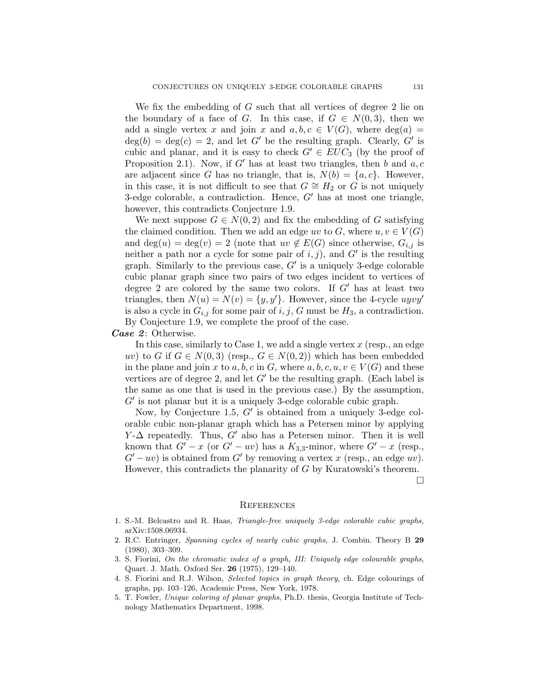We fix the embedding of  $G$  such that all vertices of degree 2 lie on the boundary of a face of G. In this case, if  $G \in N(0,3)$ , then we add a single vertex x and join x and  $a, b, c \in V(G)$ , where  $deg(a) =$  $deg(b) = deg(c) = 2$ , and let G' be the resulting graph. Clearly, G' is cubic and planar, and it is easy to check  $G' \in EUC_3$  (by the proof of Proposition 2.1). Now, if G' has at least two triangles, then b and  $a, c$ are adjacent since G has no triangle, that is,  $N(b) = \{a, c\}$ . However, in this case, it is not difficult to see that  $G \cong H_2$  or G is not uniquely 3-edge colorable, a contradiction. Hence,  $G'$  has at most one triangle, however, this contradicts Conjecture 1.9.

We next suppose  $G \in N(0, 2)$  and fix the embedding of G satisfying the claimed condition. Then we add an edge uv to G, where  $u, v \in V(G)$ and deg(u) = deg(v) = 2 (note that  $uv \notin E(G)$  since otherwise,  $G_{i,j}$  is neither a path nor a cycle for some pair of  $i, j$ , and  $G'$  is the resulting graph. Similarly to the previous case,  $G'$  is a uniquely 3-edge colorable cubic planar graph since two pairs of two edges incident to vertices of degree 2 are colored by the same two colors. If  $G'$  has at least two triangles, then  $N(u) = N(v) = \{y, y'\}$ . However, since the 4-cycle uyvy' is also a cycle in  $G_{i,j}$  for some pair of  $i, j, G$  must be  $H_3$ , a contradiction. By Conjecture 1.9, we complete the proof of the case.

## Case 2: Otherwise.

In this case, similarly to Case 1, we add a single vertex  $x$  (resp., an edge uv) to G if  $G \in N(0,3)$  (resp.,  $G \in N(0,2)$ ) which has been embedded in the plane and join x to a, b, c in G, where  $a, b, c, u, v \in V(G)$  and these vertices are of degree 2, and let  $G'$  be the resulting graph. (Each label is the same as one that is used in the previous case.) By the assumption,  $G'$  is not planar but it is a uniquely 3-edge colorable cubic graph.

Now, by Conjecture 1.5,  $G'$  is obtained from a uniquely 3-edge colorable cubic non-planar graph which has a Petersen minor by applying  $Y-\Delta$  repeatedly. Thus, G' also has a Petersen minor. Then it is well known that  $G' - x$  (or  $G' - uv$ ) has a  $K_{3,3}$ -minor, where  $G' - x$  (resp.,  $G'-uv$  is obtained from G' by removing a vertex x (resp., an edge uv). However, this contradicts the planarity of G by Kuratowski's theorem.

#### $\Box$

#### **REFERENCES**

- 1. S.-M. Belcastro and R. Haas, Triangle-free uniquely 3-edge colorable cubic graphs, arXiv:1508.06934.
- 2. R.C. Entringer, Spanning cycles of nearly cubic graphs, J. Combin. Theory B 29 (1980), 303–309.
- 3. S. Fiorini, On the chromatic index of a graph, III: Uniquely edge colourable graphs, Quart. J. Math. Oxford Ser. 26 (1975), 129–140.
- 4. S. Fiorini and R.J. Wilson, Selected topics in graph theory, ch. Edge colourings of graphs, pp. 103–126, Academic Press, New York, 1978.
- 5. T. Fowler, Unique coloring of planar graphs, Ph.D. thesis, Georgia Institute of Technology Mathematics Department, 1998.